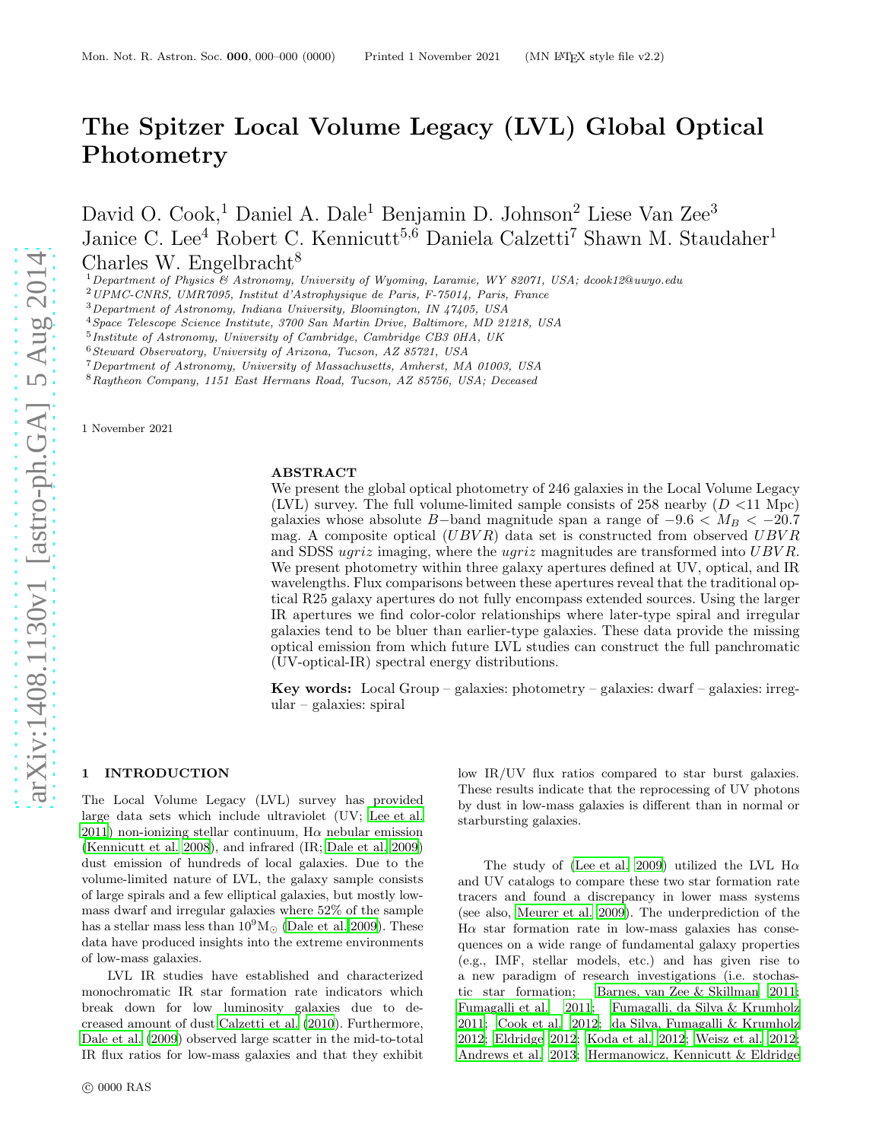# The Spitzer Local Volume Legacy (LVL) Global Optical Photometry

David O. Cook,<sup>1</sup> Daniel A. Dale<sup>1</sup> Benjamin D. Johnson<sup>2</sup> Liese Van Zee<sup>3</sup> Janice C. Lee<sup>4</sup> Robert C. Kennicutt<sup>5,6</sup> Daniela Calzetti<sup>7</sup> Shawn M. Staudaher<sup>1</sup> Charles W. Engelbracht<sup>8</sup>

<sup>1</sup>Department of Physics & Astronomy, University of Wyoming, Laramie, WY 82071, USA; dcook12@uwyo.edu

<sup>2</sup>UPMC-CNRS, UMR7095, Institut d'Astrophysique de Paris, F-75014, Paris, France

<sup>4</sup>Space Telescope Science Institute, 3700 San Martin Drive, Baltimore, MD 21218, USA

<sup>5</sup> Institute of Astronomy, University of Cambridge, Cambridge CB3 0HA, UK

<sup>6</sup>Steward Observatory, University of Arizona, Tucson, AZ 85721, USA

<sup>7</sup>Department of Astronomy, University of Massachusetts, Amherst, MA 01003, USA

<sup>8</sup>Raytheon Company, 1151 East Hermans Road, Tucson, AZ 85756, USA; Deceased

1 November 2021

#### ABSTRACT

We present the global optical photometry of 246 galaxies in the Local Volume Legacy (LVL) survey. The full volume-limited sample consists of 258 nearby  $(D < 11$  Mpc) galaxies whose absolute B-band magnitude span a range of  $-9.6 < M_B < -20.7$ mag. A composite optical  $(UBVR)$  data set is constructed from observed  $UBVR$ and SDSS ugriz imaging, where the ugriz magnitudes are transformed into UBVR. We present photometry within three galaxy apertures defined at UV, optical, and IR wavelengths. Flux comparisons between these apertures reveal that the traditional optical R25 galaxy apertures do not fully encompass extended sources. Using the larger IR apertures we find color-color relationships where later-type spiral and irregular galaxies tend to be bluer than earlier-type galaxies. These data provide the missing optical emission from which future LVL studies can construct the full panchromatic (UV-optical-IR) spectral energy distributions.

Key words: Local Group – galaxies: photometry – galaxies: dwarf – galaxies: irregular – galaxies: spiral

# 1 INTRODUCTION

The Local Volume Legacy (LVL) survey has provided large data sets which include ultraviolet (UV; [Lee et al.](#page-8-0) [2011](#page-8-0)) non-ionizing stellar continuum,  $H\alpha$  nebular emission [\(Kennicutt et al. 2008\)](#page-8-1), and infrared (IR; [Dale et al. 2009](#page-8-2)) dust emission of hundreds of local galaxies. Due to the volume-limited nature of LVL, the galaxy sample consists of large spirals and a few elliptical galaxies, but mostly lowmass dwarf and irregular galaxies where 52% of the sample has a stellar mass less than  $10^9 M_{\odot}$  [\(Dale et al. 2009\)](#page-8-2). These data have produced insights into the extreme environments of low-mass galaxies.

LVL IR studies have established and characterized monochromatic IR star formation rate indicators which break down for low luminosity galaxies due to decreased amount of dust [Calzetti et al. \(2010](#page-7-0)). Furthermore, [Dale et al. \(2009](#page-8-2)) observed large scatter in the mid-to-total IR flux ratios for low-mass galaxies and that they exhibit low IR/UV flux ratios compared to star burst galaxies. These results indicate that the reprocessing of UV photons by dust in low-mass galaxies is different than in normal or starbursting galaxies.

The study of [\(Lee et al. 2009\)](#page-8-3) utilized the LVL H $\alpha$ and UV catalogs to compare these two star formation rate tracers and found a discrepancy in lower mass systems (see also, [Meurer et al. 2009\)](#page-8-4). The underprediction of the  $H\alpha$  star formation rate in low-mass galaxies has consequences on a wide range of fundamental galaxy properties (e.g., IMF, stellar models, etc.) and has given rise to a new paradigm of research investigations (i.e. stochastic star formation; [Barnes, van Zee & Skillman 2011;](#page-7-1) [Fumagalli et al. 2011;](#page-8-5) [Fumagalli, da Silva & Krumholz](#page-8-6) [2011](#page-8-6); [Cook et al. 2012](#page-7-2); [da Silva, Fumagalli & Krumholz](#page-8-7) [2012](#page-8-7); [Eldridge 2012](#page-8-8); [Koda et al. 2012;](#page-8-9) [Weisz et al. 2012;](#page-8-10) [Andrews et al. 2013](#page-7-3); [Hermanowicz, Kennicutt & Eldridge](#page-8-11)

<sup>3</sup>Department of Astronomy, Indiana University, Bloomington, IN 47405, USA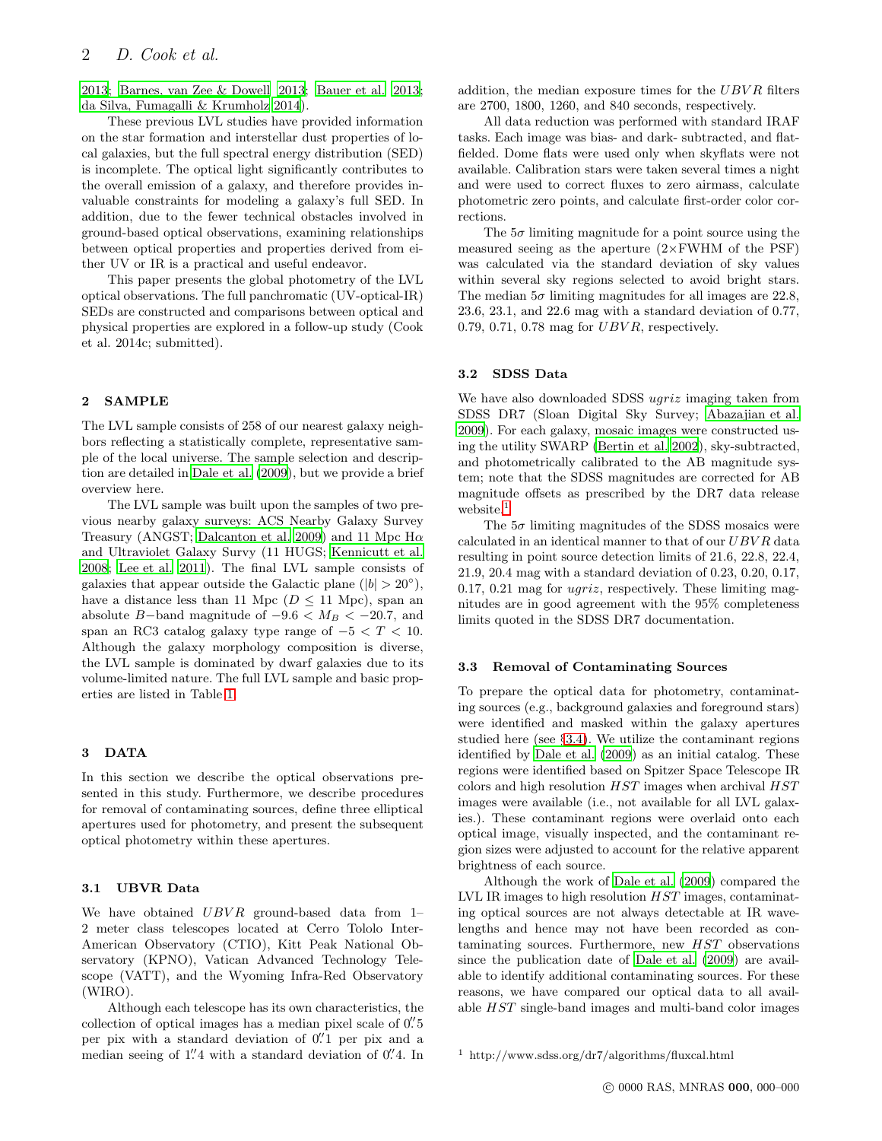[2013](#page-8-11); [Barnes, van Zee & Dowell 2013;](#page-7-4) [Bauer et al. 2013](#page-7-5); [da Silva, Fumagalli & Krumholz 2014](#page-8-12)).

These previous LVL studies have provided information on the star formation and interstellar dust properties of local galaxies, but the full spectral energy distribution (SED) is incomplete. The optical light significantly contributes to the overall emission of a galaxy, and therefore provides invaluable constraints for modeling a galaxy's full SED. In addition, due to the fewer technical obstacles involved in ground-based optical observations, examining relationships between optical properties and properties derived from either UV or IR is a practical and useful endeavor.

This paper presents the global photometry of the LVL optical observations. The full panchromatic (UV-optical-IR) SEDs are constructed and comparisons between optical and physical properties are explored in a follow-up study (Cook et al. 2014c; submitted).

## 2 SAMPLE

The LVL sample consists of 258 of our nearest galaxy neighbors reflecting a statistically complete, representative sample of the local universe. The sample selection and description are detailed in [Dale et al. \(2009](#page-8-2)), but we provide a brief overview here.

The LVL sample was built upon the samples of two previous nearby galaxy surveys: ACS Nearby Galaxy Survey Treasury (ANGST; [Dalcanton et al. 2009](#page-8-13)) and 11 Mpc  $H\alpha$ and Ultraviolet Galaxy Survy (11 HUGS; [Kennicutt et al.](#page-8-1) [2008](#page-8-1); [Lee et al. 2011](#page-8-0)). The final LVL sample consists of galaxies that appear outside the Galactic plane ( $|b| > 20^{\circ}$ ), have a distance less than 11 Mpc ( $D \le 11$  Mpc), span an absolute B-band magnitude of  $-9.6 < M_B < -20.7$ , and span an RC3 catalog galaxy type range of  $-5 < T < 10$ . Although the galaxy morphology composition is diverse, the LVL sample is dominated by dwarf galaxies due to its volume-limited nature. The full LVL sample and basic properties are listed in Table [1.](#page-2-0)

# 3 DATA

In this section we describe the optical observations presented in this study. Furthermore, we describe procedures for removal of contaminating sources, define three elliptical apertures used for photometry, and present the subsequent optical photometry within these apertures.

## <span id="page-1-1"></span>3.1 UBVR Data

We have obtained  $UBVR$  ground-based data from 1-2 meter class telescopes located at Cerro Tololo Inter-American Observatory (CTIO), Kitt Peak National Observatory (KPNO), Vatican Advanced Technology Telescope (VATT), and the Wyoming Infra-Red Observatory (WIRO).

Although each telescope has its own characteristics, the collection of optical images has a median pixel scale of  $0\rlap.{''}5$ per pix with a standard deviation of 0.<sup>"</sup> 1 per pix and a median seeing of 1.'4 with a standard deviation of 0.'4. In addition, the median exposure times for the  $UBVR$  filters are 2700, 1800, 1260, and 840 seconds, respectively.

All data reduction was performed with standard IRAF tasks. Each image was bias- and dark- subtracted, and flatfielded. Dome flats were used only when skyflats were not available. Calibration stars were taken several times a night and were used to correct fluxes to zero airmass, calculate photometric zero points, and calculate first-order color corrections.

The  $5\sigma$  limiting magnitude for a point source using the measured seeing as the aperture  $(2\times$ FWHM of the PSF) was calculated via the standard deviation of sky values within several sky regions selected to avoid bright stars. The median  $5\sigma$  limiting magnitudes for all images are 22.8, 23.6, 23.1, and 22.6 mag with a standard deviation of 0.77, 0.79, 0.71, 0.78 mag for  $UBVR$ , respectively.

#### 3.2 SDSS Data

We have also downloaded SDSS ugriz imaging taken from SDSS DR7 (Sloan Digital Sky Survey; [Abazajian et al.](#page-7-6) [2009](#page-7-6)). For each galaxy, mosaic images were constructed using the utility SWARP [\(Bertin et al. 2002](#page-7-7)), sky-subtracted, and photometrically calibrated to the AB magnitude system; note that the SDSS magnitudes are corrected for AB magnitude offsets as prescribed by the DR7 data release website.<sup>[1](#page-1-0)</sup>

The  $5\sigma$  limiting magnitudes of the SDSS mosaics were calculated in an identical manner to that of our  $UBVR$  data resulting in point source detection limits of 21.6, 22.8, 22.4, 21.9, 20.4 mag with a standard deviation of 0.23, 0.20, 0.17, 0.17, 0.21 mag for ugriz, respectively. These limiting magnitudes are in good agreement with the 95% completeness limits quoted in the SDSS DR7 documentation.

#### 3.3 Removal of Contaminating Sources

To prepare the optical data for photometry, contaminating sources (e.g., background galaxies and foreground stars) were identified and masked within the galaxy apertures studied here (see §[3.4\)](#page-3-0). We utilize the contaminant regions identified by [Dale et al. \(2009](#page-8-2)) as an initial catalog. These regions were identified based on Spitzer Space Telescope IR colors and high resolution  $HST$  images when archival  $HST$ images were available (i.e., not available for all LVL galaxies.). These contaminant regions were overlaid onto each optical image, visually inspected, and the contaminant region sizes were adjusted to account for the relative apparent brightness of each source.

Although the work of [Dale et al. \(2009](#page-8-2)) compared the LVL IR images to high resolution HST images, contaminating optical sources are not always detectable at IR wavelengths and hence may not have been recorded as contaminating sources. Furthermore, new HST observations since the publication date of [Dale et al. \(2009](#page-8-2)) are available to identify additional contaminating sources. For these reasons, we have compared our optical data to all available HST single-band images and multi-band color images

<span id="page-1-0"></span><sup>1</sup> http://www.sdss.org/dr7/algorithms/fluxcal.html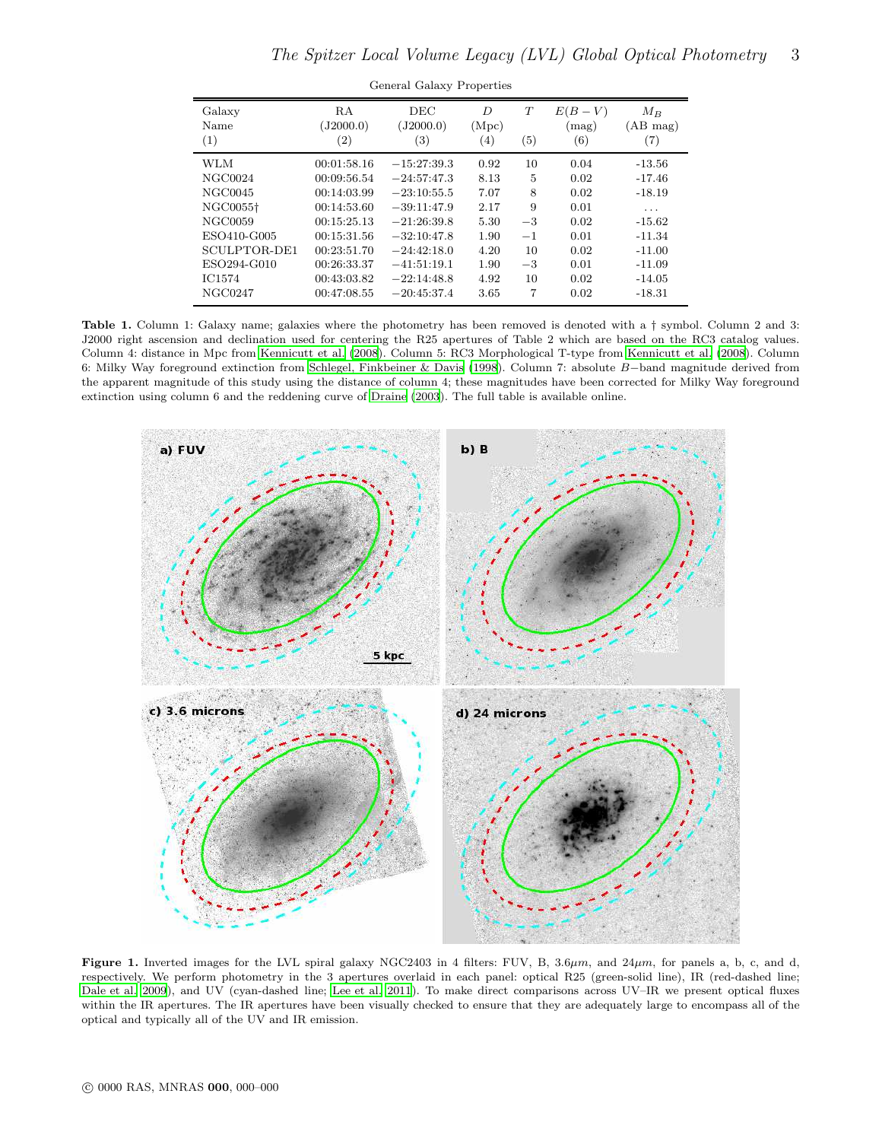| Galaxy<br>Name<br>(1) | RA<br>(J2000.0)<br>$\left( 2\right)$ | <b>DEC</b><br>(J2000.0)<br>$\left( 3\right)$ | D<br>(Mpc)<br>(4) | T<br>(5) | $E(B-V)$<br>(mag)<br>(6) | $M_B$<br>(AB mag)<br>(7) |
|-----------------------|--------------------------------------|----------------------------------------------|-------------------|----------|--------------------------|--------------------------|
| <b>WLM</b>            | 00:01:58.16                          | $-15:27:39.3$                                | 0.92              | 10       | 0.04                     | $-13.56$                 |
| NGC0024               | 00:09:56.54                          | $-24:57:47.3$                                | 8.13              | 5        | 0.02                     | $-17.46$                 |
| NGC0045               | 00:14:03.99                          | $-23:10:55.5$                                | 7.07              | 8        | 0.02                     | $-18.19$                 |
| NGC0055 <sup>+</sup>  | 00:14:53.60                          | $-39:11:47.9$                                | 2.17              | 9        | 0.01                     | .                        |
| NGC0059               | 00:15:25.13                          | $-21:26:39.8$                                | 5.30              | $-3$     | 0.02                     | $-15.62$                 |
| ESO410-G005           | 00:15:31.56                          | $-32:10:47.8$                                | 1.90              | $-1$     | 0.01                     | $-11.34$                 |
| SCULPTOR-DE1          | 00:23:51.70                          | $-24:42:18.0$                                | 4.20              | 10       | 0.02                     | $-11.00$                 |
| ESO294-G010           | 00:26:33.37                          | $-41:51:19.1$                                | 1.90              | $-3$     | 0.01                     | $-11.09$                 |
| <b>IC1574</b>         | 00:43:03.82                          | $-22:14:48.8$                                | 4.92              | 10       | 0.02                     | $-14.05$                 |
| NGC0247               | 00:47:08.55                          | $-20:45:37.4$                                | 3.65              | 7        | 0.02                     | $-18.31$                 |
|                       |                                      |                                              |                   |          |                          |                          |

General Galaxy Properties

<span id="page-2-0"></span>Table 1. Column 1: Galaxy name; galaxies where the photometry has been removed is denoted with a  $\dagger$  symbol. Column 2 and 3: J2000 right ascension and declination used for centering the R25 apertures of Table 2 which are based on the RC3 catalog values. Column 4: distance in Mpc from [Kennicutt et al. \(2008\)](#page-8-1). Column 5: RC3 Morphological T-type from [Kennicutt et al. \(2008](#page-8-1)). Column 6: Milky Way foreground extinction from [Schlegel, Finkbeiner & Davis \(1998](#page-8-14)). Column 7: absolute B−band magnitude derived from the apparent magnitude of this study using the distance of column 4; these magnitudes have been corrected for Milky Way foreground extinction using column 6 and the reddening curve of [Draine \(2003](#page-8-15)). The full table is available online.



<span id="page-2-1"></span>Figure 1. Inverted images for the LVL spiral galaxy NGC2403 in 4 filters: FUV, B,  $3.6\mu m$ , and  $24\mu m$ , for panels a, b, c, and d, respectively. We perform photometry in the 3 apertures overlaid in each panel: optical R25 (green-solid line), IR (red-dashed line; [Dale et al. 2009\)](#page-8-2), and UV (cyan-dashed line; [Lee et al. 2011\)](#page-8-0). To make direct comparisons across UV–IR we present optical fluxes within the IR apertures. The IR apertures have been visually checked to ensure that they are adequately large to encompass all of the optical and typically all of the UV and IR emission.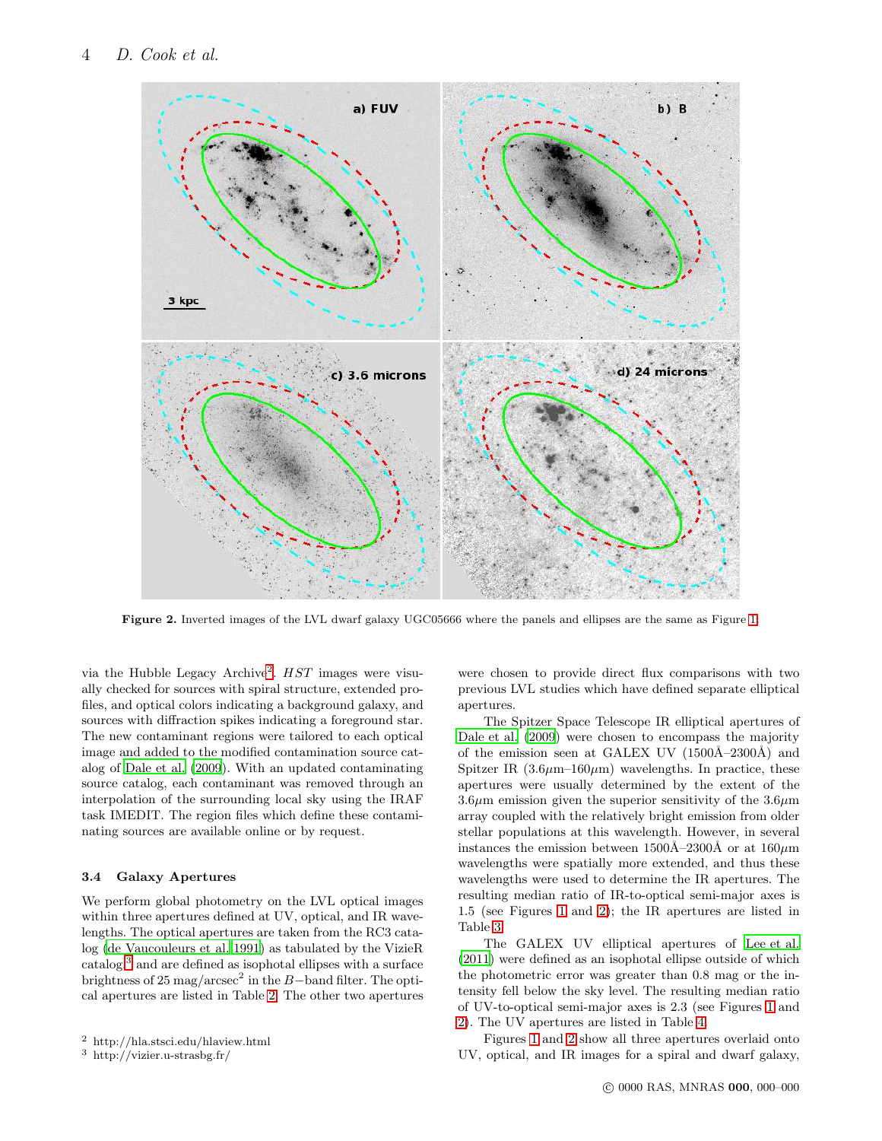

<span id="page-3-3"></span>Figure 2. Inverted images of the LVL dwarf galaxy UGC05666 where the panels and ellipses are the same as Figure [1.](#page-2-1)

via the Hubble Legacy Archive<sup>[2](#page-3-1)</sup>. HST images were visually checked for sources with spiral structure, extended profiles, and optical colors indicating a background galaxy, and sources with diffraction spikes indicating a foreground star. The new contaminant regions were tailored to each optical image and added to the modified contamination source catalog of [Dale et al. \(2009\)](#page-8-2). With an updated contaminating source catalog, each contaminant was removed through an interpolation of the surrounding local sky using the IRAF task IMEDIT. The region files which define these contaminating sources are available online or by request.

## <span id="page-3-0"></span>3.4 Galaxy Apertures

We perform global photometry on the LVL optical images within three apertures defined at UV, optical, and IR wavelengths. The optical apertures are taken from the RC3 catalog [\(de Vaucouleurs et al. 1991](#page-8-16)) as tabulated by the VizieR catalog,[3](#page-3-2) and are defined as isophotal ellipses with a surface brightness of 25 mag/arcsec<sup>2</sup> in the B-band filter. The optical apertures are listed in Table [2.](#page-4-0) The other two apertures were chosen to provide direct flux comparisons with two previous LVL studies which have defined separate elliptical apertures.

The Spitzer Space Telescope IR elliptical apertures of [Dale et al. \(2009\)](#page-8-2) were chosen to encompass the majority of the emission seen at GALEX UV  $(1500\text{\AA}-2300\text{\AA})$  and Spitzer IR  $(3.6\mu m-160\mu m)$  wavelengths. In practice, these apertures were usually determined by the extent of the  $3.6\mu$ m emission given the superior sensitivity of the  $3.6\mu$ m array coupled with the relatively bright emission from older stellar populations at this wavelength. However, in several instances the emission between  $1500\text{\AA}-2300\text{\AA}$  or at  $160\mu\text{m}$ wavelengths were spatially more extended, and thus these wavelengths were used to determine the IR apertures. The resulting median ratio of IR-to-optical semi-major axes is 1.5 (see Figures [1](#page-2-1) and [2\)](#page-3-3); the IR apertures are listed in Table [3.](#page-4-1)

The GALEX UV elliptical apertures of [Lee et al.](#page-8-0) [\(2011\)](#page-8-0) were defined as an isophotal ellipse outside of which the photometric error was greater than 0.8 mag or the intensity fell below the sky level. The resulting median ratio of UV-to-optical semi-major axes is 2.3 (see Figures [1](#page-2-1) and [2\)](#page-3-3). The UV apertures are listed in Table [4.](#page-5-0)

Figures [1](#page-2-1) and [2](#page-3-3) show all three apertures overlaid onto UV, optical, and IR images for a spiral and dwarf galaxy,

<sup>2</sup> http://hla.stsci.edu/hlaview.html

<span id="page-3-2"></span><span id="page-3-1"></span><sup>3</sup> http://vizier.u-strasbg.fr/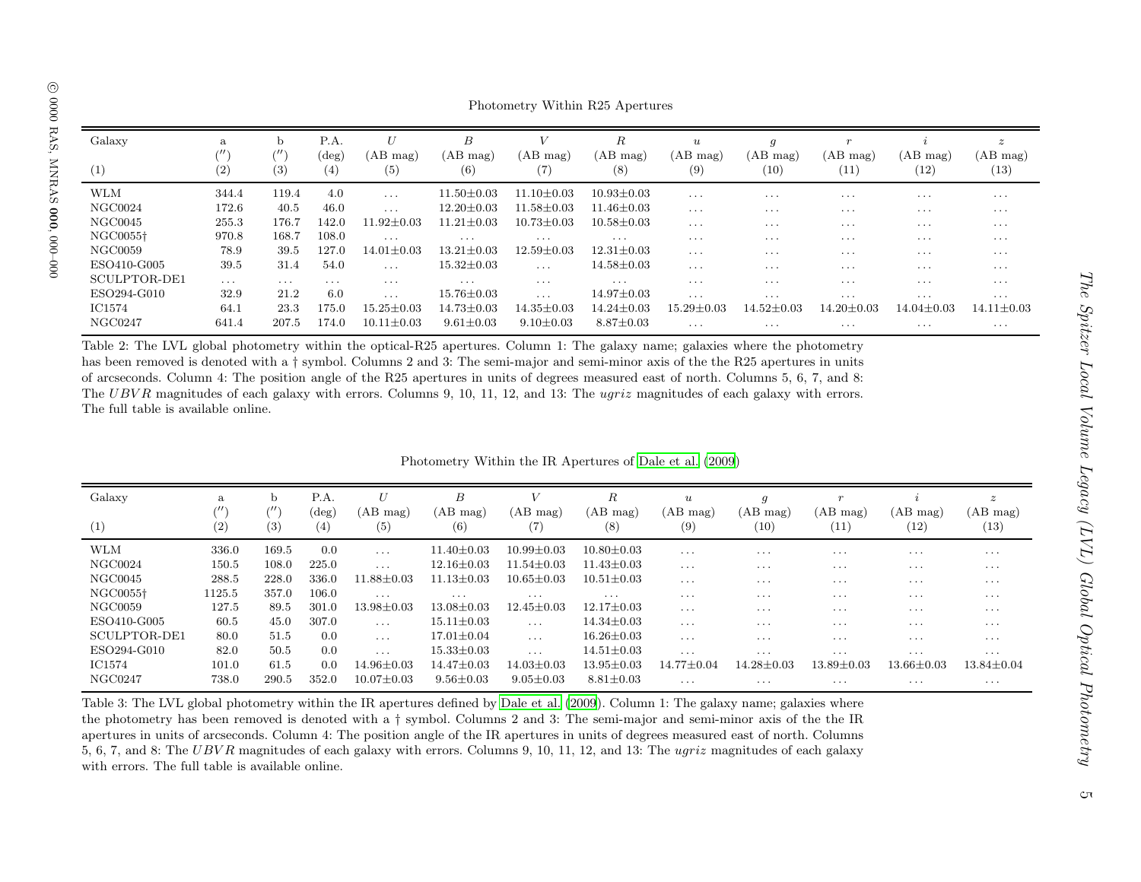|               |                                     |                                     |                         |                      |                      |                      | Photometry Within R25 Apertures          |                                     |                                    |                  |                  |                                      |
|---------------|-------------------------------------|-------------------------------------|-------------------------|----------------------|----------------------|----------------------|------------------------------------------|-------------------------------------|------------------------------------|------------------|------------------|--------------------------------------|
| Galaxy<br>(1) | a<br>$^{\prime\prime\prime}$<br>(2) | b<br>$^{\prime\prime\prime}$<br>(3) | P.A.<br>$(\deg)$<br>(4) | U<br>(AB mag)<br>(5) | B<br>(AB mag)<br>(6) | (AB mag)<br>(7       | $\boldsymbol{R}$<br>(AB mag)<br>$^{(8)}$ | $\boldsymbol{u}$<br>(AB mag)<br>(9) | $\mathfrak{g}$<br>(AB mag)<br>(10) | (AB mag)<br>(11) | (AB mag)<br>(12) | $\boldsymbol{z}$<br>(AB mag)<br>(13) |
| <b>WLM</b>    | 344.4                               | 119.4                               | 4.0                     | $\cdots$             | $11.50 \pm 0.03$     | $11.10 {\pm} 0.03$   | $10.93 \pm 0.03$                         | $\cdots$                            | $\cdots$                           | $\cdots$         | $\cdots$         | $\cdots$                             |
| NGC0024       | 172.6                               | 40.5                                | 46.0                    | $\cdots$             | $12.20 \pm 0.03$     | $11.58 {\pm} 0.03$   | $11.46 \pm 0.03$                         | $\sim$ $\sim$ $\sim$                | $\cdots$                           | $\cdots$         | $\cdots$         | $\cdots$                             |
| NGC0045       | 255.3                               | 176.7                               | 142.0                   | $11.92 \pm 0.03$     | $11.21 \pm 0.03$     | $10.73 \pm 0.03$     | $10.58 \pm 0.03$                         | $\cdots$                            | $\cdots$                           | $\cdots$         | $\cdots$         | $\cdots$                             |
| NGC0055†      | 970.8                               | 168.7                               | 108.0                   | $\sim$ $\sim$ $\sim$ | $\cdots$             | $\cdots$             | $\cdots$                                 | $\cdots$                            | $\cdots$                           | $\cdots$         | $\cdots$         | $\cdots$                             |
| NGC0059       | 78.9                                | 39.5                                | 127.0                   | $14.01 \pm 0.03$     | $13.21 \pm 0.03$     | $12.59 \pm 0.03$     | $12.31 \pm 0.03$                         | $\sim$ $\sim$ $\sim$                | $\cdots$                           | $\cdots$         | $\cdots$         | $\cdots$                             |
| ESO410-G005   | 39.5                                | 31.4                                | 54.0                    | $\cdots$             | $15.32 \pm 0.03$     | $\sim$ $\sim$ $\sim$ | $14.58 \pm 0.03$                         | $\sim$ $\sim$ $\sim$                | $\cdots$                           | $\cdots$         | $\cdots$         | $\cdots$                             |
| SCULPTOR-DE1  | $\cdots$                            | $\cdots$                            | $\cdots$                | $\cdots$             | $\sim$ $\sim$ $\sim$ | $\cdots$             | $\cdots$                                 | $\cdots$                            | $\cdots$                           | $\cdots$         | $\cdots$         | $\cdots$                             |
| ESO294-G010   | 32.9                                | 21.2                                | 6.0                     | $\cdots$             | $15.76 \pm 0.03$     | $\cdots$             | $14.97 \pm 0.03$                         | $\sim$ $\sim$ $\sim$                | $\cdots$                           | $\cdots$         | $\cdots$         | $\cdots$                             |
| IC1574        | 64.1                                | 23.3                                | 175.0                   | $15.25 \pm 0.03$     | $14.73 \pm 0.03$     | $14.35 \pm 0.03$     | $14.24 \pm 0.03$                         | $15.29 \pm 0.03$                    | $14.52 {\pm} 0.03$                 | $14.20 \pm 0.03$ | $14.04 \pm 0.03$ | $14.11 \pm 0.03$                     |
| NGC0247       | 641.4                               | 207.5                               | 174.0                   | $10.11 \pm 0.03$     | $9.61 \pm 0.03$      | $9.10 \pm 0.03$      | $8.87 \pm 0.03$                          | $\cdot$ $\cdot$ $\cdot$             | $\cdots$                           | $\cdots$         | $\cdots$         | $\cdots$                             |

Table 2: The LVL <sup>g</sup>lobal <sup>p</sup>hotometry within the optical-R25 apertures. Column 1: The galaxy name; galaxies where the <sup>p</sup>hotometry has been removed is denoted with <sup>a</sup> † symbol. Columns <sup>2</sup> and 3: The semi-major and semi-minor axis of the the R25 apertures in units of arcseconds. Column 4: The position angle of the R25 apertures in units of degrees measured east of north. Columns 5, 6, 7, and 8: The UBVR magnitudes of each galaxy with errors. Columns 9, 10, 11, 12, and 13: The *ugriz* magnitudes of each galaxy with errors. The full table is available online.

| Photometry Within the IR Apertures of Dale et al. (2009) |  |
|----------------------------------------------------------|--|
|----------------------------------------------------------|--|

| Galaxy<br>(1)        | a<br>$^{\prime\prime\prime}$<br>(2) | b.<br>$^{\prime\prime}$<br>(3) | P.A.<br>$(\deg)$<br>(4) | U<br>(AB mag)<br>(5) | $\boldsymbol{B}$<br>(AB mag)<br>(6) | ΆB<br>mag)<br>(7) | R<br>(AB mag)<br>(8) | $\boldsymbol{u}$<br>(AB mag)<br>(9) | $\mathfrak{g}$<br>(AB mag)<br>(10) | $\mathbf{r}$<br>(AB mag)<br>(11) | (AB mag)<br>(12) | $\boldsymbol{z}$<br>(AB mag)<br>(13) |
|----------------------|-------------------------------------|--------------------------------|-------------------------|----------------------|-------------------------------------|-------------------|----------------------|-------------------------------------|------------------------------------|----------------------------------|------------------|--------------------------------------|
| <b>WLM</b>           | 336.0                               | 169.5                          | 0.0                     | $\cdots$             | $11.40 \pm 0.03$                    | $10.99 \pm 0.03$  | $10.80 \pm 0.03$     | $\cdots$                            | $\cdots$                           | $\cdots$                         | $\cdots$         | $\cdots$                             |
| NGC0024              | 150.5                               | 108.0                          | 225.0                   | $\cdot$              | $12.16 \pm 0.03$                    | $11.54 + 0.03$    | $11.43 \pm 0.03$     | $\cdots$                            | $\cdots$                           | $\cdots$                         | $\cdots$         | $\cdots$                             |
| NGC0045              | 288.5                               | 228.0                          | 336.0                   | $11.88 \pm 0.03$     | $11.13 \pm 0.03$                    | $10.65 \pm 0.03$  | $10.51 \pm 0.03$     | $\cdots$                            | $\cdots$                           | $\cdots$                         | $\cdots$         | $\cdots$                             |
| NGC0055 <sup>+</sup> | 1125.5                              | 357.0                          | 106.0                   | $\cdots$             | $\cdots$                            | $\cdots$          | $\cdots$             | $\cdots$                            | $\cdots$                           | $\cdots$                         | $\cdots$         | $\cdots$                             |
| NGC0059              | 127.5                               | 89.5                           | 301.0                   | $13.98 \pm 0.03$     | $13.08 \pm 0.03$                    | $12.45 \pm 0.03$  | $12.17 \pm 0.03$     | $\cdots$                            | $\cdots$                           | $\cdots$                         | $\cdots$         | $\cdots$                             |
| ESO410-G005          | 60.5                                | 45.0                           | 307.0                   | $\cdot$              | $15.11 \pm 0.03$                    | $\cdot$           | $14.34 \pm 0.03$     | $\cdots$                            | $\cdots$                           | $\cdots$                         | $\cdots$         | $\cdots$                             |
| SCULPTOR-DE1         | 80.0                                | 51.5                           | 0.0                     | $\cdots$             | $17.01 \pm 0.04$                    | $\cdots$          | $16.26 \pm 0.03$     | $\cdot$                             | $\cdots$                           | $\cdots$                         | $\cdots$         | $\cdots$                             |
| ESO294-G010          | 82.0                                | 50.5                           | 0.0                     | $\cdots$             | $15.33 \pm 0.03$                    | $\cdot$           | $14.51 \pm 0.03$     | $\cdots$                            | $\cdots$                           | $\cdots$                         | $\cdots$         | $\cdots$                             |
| <b>IC1574</b>        | 101.0                               | 61.5                           | 0.0                     | $14.96 \pm 0.03$     | $14.47 \pm 0.03$                    | $14.03 \pm 0.03$  | $13.95 \pm 0.03$     | $14.77 \pm 0.04$                    | $14.28 + 0.03$                     | $13.89 {\pm} 0.03$               | $13.66 \pm 0.03$ | $13.84 \pm 0.04$                     |
| NGC0247              | 738.0                               | 290.5                          | 352.0                   | $10.07 \pm 0.03$     | $9.56 \pm 0.03$                     | $9.05 \pm 0.03$   | $8.81 \pm 0.03$      | $\cdots$                            | $\cdots$                           | $\cdots$                         | $\cdots$         | $\cdots$                             |

<span id="page-4-1"></span><span id="page-4-0"></span>Table 3: The LVL global photometry within the IR apertures defined by [Dale](#page-8-17) et al. [\(2009](#page-8-17)). Column 1: The galaxy name; galaxies where the <sup>p</sup>hotometry has been removed is denoted with <sup>a</sup> † symbol. Columns <sup>2</sup> and 3: The semi-major and semi-minor axis of the the IR apertures in units of arcseconds. Column 4: The position angle of the IR apertures in units of degrees measured east of north. Columns 5, 6, 7, and 8: The  $UBVR$  magnitudes of each galaxy with errors. Columns 9, 10, 11, 12, and 13: The *ugriz* magnitudes of each galaxy with errors. The full table is available online.

The Spitzer Local Volume Legacy (LVL) Global Optical Photometry

The Spitzer Local Volume Legacy (LVL) Global Optical Photometry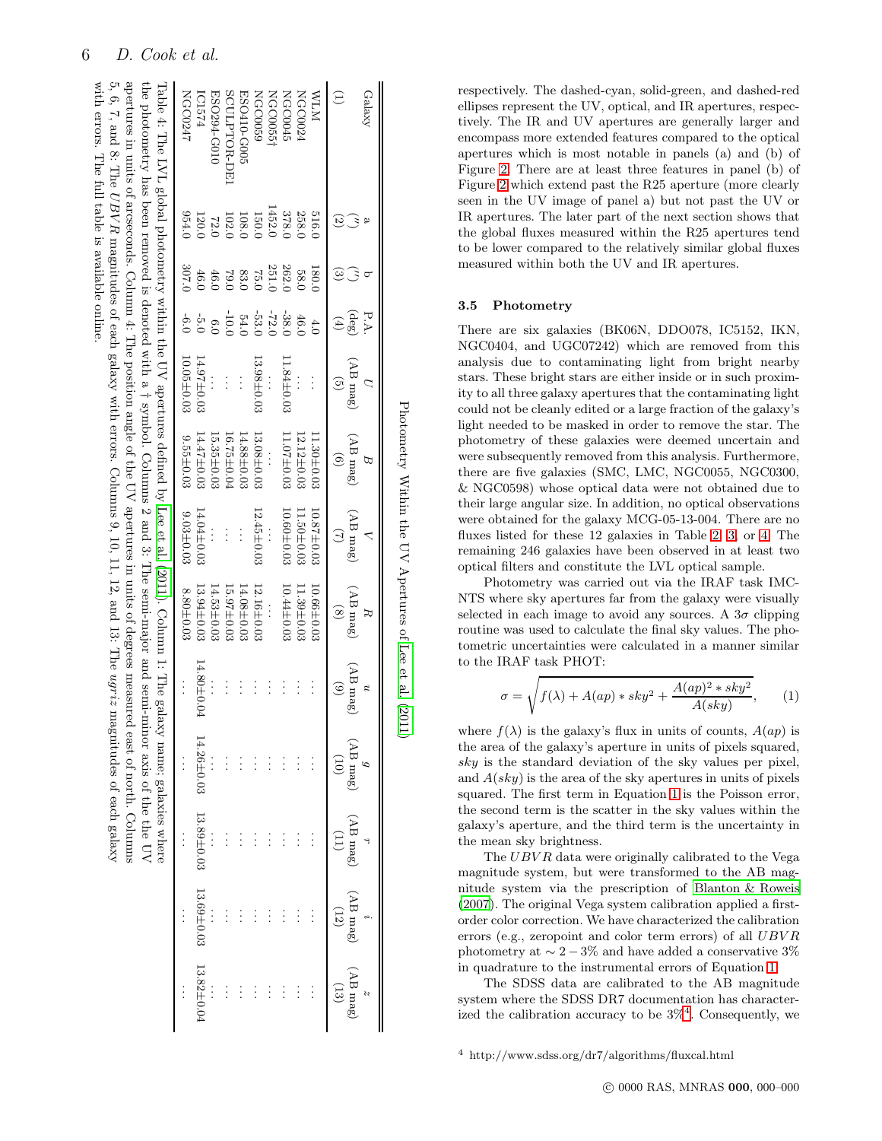<span id="page-5-0"></span>

|       |                            |                                                  |                                | Photometry Within the UV Apertures of Lee et al. (20 |                                                                                                                                                                                                                                                                                                                                                                 |                                                 |                                           |            |                                                                                                                                                                                                                                                                                      |                                            |
|-------|----------------------------|--------------------------------------------------|--------------------------------|------------------------------------------------------|-----------------------------------------------------------------------------------------------------------------------------------------------------------------------------------------------------------------------------------------------------------------------------------------------------------------------------------------------------------------|-------------------------------------------------|-------------------------------------------|------------|--------------------------------------------------------------------------------------------------------------------------------------------------------------------------------------------------------------------------------------------------------------------------------------|--------------------------------------------|
| ದ     | $(\text{deg})$<br>FÄ<br>G) | $(Sem \,B)$<br>$\widehat{S}$                     | (Sem $\mathrm{dA})$<br>$\odot$ | $($ AB mag $)$                                       | (Sem $\mathrm{dA})$<br>$\circledS$                                                                                                                                                                                                                                                                                                                              | $(AB \text{ mag})$<br>$\widehat{\epsilon}$<br>n | $(Sem \, B \cap Y)$<br>$\left( 01\right)$ | (AB mag)   | ${\rm (A B\ mag)}$<br>(12)                                                                                                                                                                                                                                                           | $(AB \text{ and } B)$<br>$\left(13\right)$ |
|       |                            |                                                  |                                |                                                      |                                                                                                                                                                                                                                                                                                                                                                 |                                                 |                                           |            |                                                                                                                                                                                                                                                                                      |                                            |
| 180.0 |                            |                                                  | $1.30 \pm 0.03$                | $10.87 \pm 0.03$                                     | $10.66 \pm 0.03$                                                                                                                                                                                                                                                                                                                                                |                                                 |                                           | $\vdots$   | $\vdots$                                                                                                                                                                                                                                                                             | $\vdots$                                   |
| 58.0  | 46.0                       |                                                  | $12.12 \pm 0.03$               | 11.50±0.03                                           | $1.39 \pm 0.03$                                                                                                                                                                                                                                                                                                                                                 |                                                 |                                           | $\vdots$   | $\vdots$                                                                                                                                                                                                                                                                             |                                            |
| 262.0 | $-38.0$                    | $11.84 \pm 0.03$                                 | $11.07 \pm 0.03$               | $10.60 \pm 0.03$                                     | 10.44±0.03                                                                                                                                                                                                                                                                                                                                                      |                                                 |                                           |            |                                                                                                                                                                                                                                                                                      |                                            |
| 251.C | $-72.0$                    |                                                  |                                |                                                      |                                                                                                                                                                                                                                                                                                                                                                 |                                                 |                                           |            |                                                                                                                                                                                                                                                                                      |                                            |
| 75.0  | $-53.0$                    | $13.98 \pm 0.03$                                 | $13.08 \pm 0.03$               | $12.45 \pm 0.03$                                     | $12.16 \pm 0.03$                                                                                                                                                                                                                                                                                                                                                |                                                 |                                           |            |                                                                                                                                                                                                                                                                                      |                                            |
| 83.0  | 54.0                       | $\vdots$                                         | 14.88±0.03                     | $\vdots$                                             | $14.08 \pm 0.03$                                                                                                                                                                                                                                                                                                                                                | $\vdots$                                        |                                           |            |                                                                                                                                                                                                                                                                                      |                                            |
| 0.67  | $-10.0$                    |                                                  | 16.75±0.04                     |                                                      | $15.97 \pm 0.03$                                                                                                                                                                                                                                                                                                                                                |                                                 |                                           |            |                                                                                                                                                                                                                                                                                      |                                            |
| 46.0  | 0.6                        |                                                  | $15.35 \pm 0.03$               |                                                      | $14.53 \pm 0.03$                                                                                                                                                                                                                                                                                                                                                |                                                 |                                           |            |                                                                                                                                                                                                                                                                                      |                                            |
| 46.0  | $-5.0$                     | $14.97 \pm 0.03$                                 | $14.47 \pm 0.03$               | $14.04 \pm 0.03$                                     | $13.94\pm0.03$                                                                                                                                                                                                                                                                                                                                                  | $14.80 \pm 0.04$                                | $4.26 \pm 0.03$                           | 13.89±0.03 | 13.69±0.03                                                                                                                                                                                                                                                                           | 13.82±0.0                                  |
| 307.0 | $-6.0$                     | $10.05 \pm 0.03$                                 | $9.55 \pm 0.03$                | $9.03 \pm 0.03$                                      | $8.80 \pm 0.03$                                                                                                                                                                                                                                                                                                                                                 |                                                 |                                           | $\vdots$   | $\vdots$                                                                                                                                                                                                                                                                             | $\ddot{\cdot}$                             |
|       |                            |                                                  |                                |                                                      | the photometry has been removed is denoted with a f symbol. Columns 2 and 3: The semi-major and semi-minor axis of the the UV<br>Table 4: The IVL global photophorus which is the UN of the set al. (2011). Column 1: The galaxy name; galaxy name; galaxy name; galaxy name; galaxy name; galaxy name; galaxy name; galaxy name; galaxy name; galaxy name; gal |                                                 |                                           |            |                                                                                                                                                                                                                                                                                      |                                            |
|       |                            |                                                  |                                |                                                      |                                                                                                                                                                                                                                                                                                                                                                 |                                                 |                                           |            |                                                                                                                                                                                                                                                                                      |                                            |
|       |                            | with errors. The full table is available online. |                                |                                                      |                                                                                                                                                                                                                                                                                                                                                                 |                                                 |                                           |            | aperutures in units of arceconds. Column 4: The position of the UV apertures in units of degrees measured east of ourth. Columns<br>5, 6, 7, and 8: The <i>UBVR</i> magnitudes of each galaxy with errors. Columns 9, 10, 11, 12, and 13: The <i>ugriz</i> magnitudes of each galaxy |                                            |

respectively. The dashed-cyan, solid-green, and dashed-red ellipses represent the UV, optical, and IR apertures, respectively. The IR and UV apertures are generally larger and encompass more extended features compared to the optical apertures which is most notable in panels (a) and (b) of Figure [2.](#page-3-3) There are at least three features in panel (b) of Figure [2](#page-3-3) which extend past the R25 aperture (more clearly seen in the UV image of panel a) but not past the UV or IR apertures. The later part of the next section shows that the global fluxes measured within the R25 apertures tend to be lower compared to the relatively similar global fluxes measured within both the UV and IR apertures.

#### <span id="page-5-3"></span>3.5 Photometry

There are six galaxies (BK06N, DDO078, IC5152, IKN, NGC0404, and UGC07242) which are removed from this analysis due to contaminating light from bright nearby stars. These bright stars are either inside or in such proximity to all three galaxy apertures that the contaminating light could not be cleanly edited or a large fraction of the galaxy's light needed to be masked in order to remove the star. The photometry of these galaxies were deemed uncertain and were subsequently removed from this analysis. Furthermore, there are five galaxies (SMC, LMC, NGC0055, NGC0300, & NGC0598) whose optical data were not obtained due to their large angular size. In addition, no optical observations were obtained for the galaxy MCG-05-13-004. There are no fluxes listed for these 12 galaxies in Table [2,](#page-4-0) [3,](#page-4-1) or [4.](#page-5-0) The remaining 246 galaxies have been observed in at least two optical filters and constitute the LVL optical sample.

Photometry was carried out via the IRAF task IMC-NTS where sky apertures far from the galaxy were visually selected in each image to avoid any sources. A  $3\sigma$  clipping routine was used to calculate the final sky values. The photometric uncertainties were calculated in a manner similar to the IRAF task PHOT:

<span id="page-5-1"></span>
$$
\sigma = \sqrt{f(\lambda) + A(ap) * sky^2 + \frac{A(ap)^2 * sky^2}{A(sky)}},
$$
 (1)

where  $f(\lambda)$  is the galaxy's flux in units of counts,  $A(ap)$  is the area of the galaxy's aperture in units of pixels squared, sky is the standard deviation of the sky values per pixel, and  $A(sky)$  is the area of the sky apertures in units of pixels squared. The first term in Equation [1](#page-5-1) is the Poisson error, the second term is the scatter in the sky values within the galaxy's aperture, and the third term is the uncertainty in the mean sky brightness.

The  $UBVR$  data were originally calibrated to the Vega magnitude system, but were transformed to the AB magnitude system via the prescription of [Blanton & Roweis](#page-7-8) [\(2007\)](#page-7-8). The original Vega system calibration applied a firstorder color correction. We have characterized the calibration errors (e.g., zeropoint and color term errors) of all UBV R photometry at  $\sim 2-3\%$  and have added a conservative 3% in quadrature to the instrumental errors of Equation [1.](#page-5-1)

The SDSS data are calibrated to the AB magnitude system where the SDSS DR7 documentation has characterized the calibration accuracy to be  $3\%$ <sup>[4](#page-5-2)</sup>. Consequently, we

<span id="page-5-2"></span><sup>4</sup> http://www.sdss.org/dr7/algorithms/fluxcal.html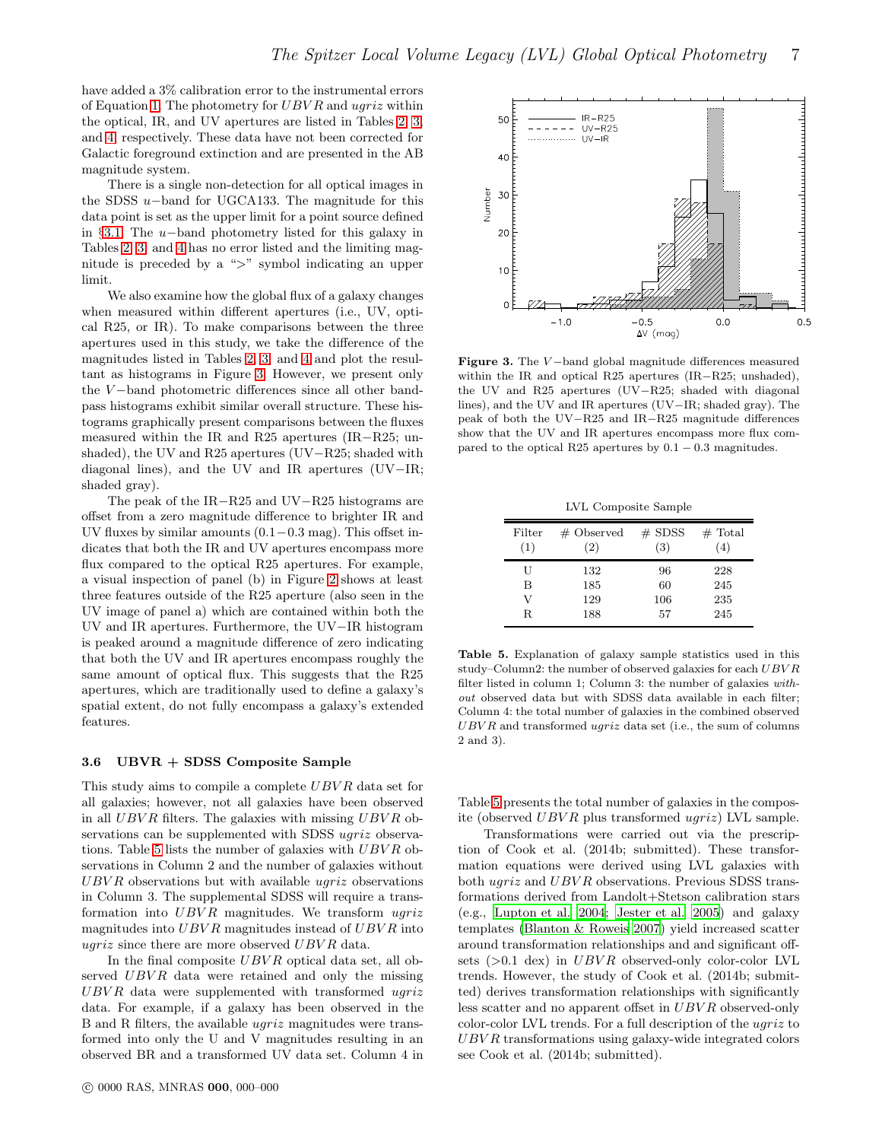have added a 3% calibration error to the instrumental errors of Equation [1.](#page-5-1) The photometry for  $UBVR$  and  $ugriz$  within the optical, IR, and UV apertures are listed in Tables [2,](#page-4-0) [3,](#page-4-1) and [4,](#page-5-0) respectively. These data have not been corrected for Galactic foreground extinction and are presented in the AB magnitude system.

There is a single non-detection for all optical images in the SDSS u−band for UGCA133. The magnitude for this data point is set as the upper limit for a point source defined in §[3.1.](#page-1-1) The u−band photometry listed for this galaxy in Tables [2,](#page-4-0) [3,](#page-4-1) and [4](#page-5-0) has no error listed and the limiting magnitude is preceded by a ">" symbol indicating an upper limit.

We also examine how the global flux of a galaxy changes when measured within different apertures (i.e., UV, optical R25, or IR). To make comparisons between the three apertures used in this study, we take the difference of the magnitudes listed in Tables [2,](#page-4-0) [3,](#page-4-1) and [4](#page-5-0) and plot the resultant as histograms in Figure [3.](#page-6-0) However, we present only the V-band photometric differences since all other bandpass histograms exhibit similar overall structure. These histograms graphically present comparisons between the fluxes measured within the IR and R25 apertures (IR−R25; unshaded), the UV and R25 apertures (UV−R25; shaded with diagonal lines), and the UV and IR apertures (UV−IR; shaded gray).

The peak of the IR−R25 and UV−R25 histograms are offset from a zero magnitude difference to brighter IR and UV fluxes by similar amounts  $(0.1-0.3 \text{ mag})$ . This offset indicates that both the IR and UV apertures encompass more flux compared to the optical R25 apertures. For example, a visual inspection of panel (b) in Figure [2](#page-3-3) shows at least three features outside of the R25 aperture (also seen in the UV image of panel a) which are contained within both the UV and IR apertures. Furthermore, the UV−IR histogram is peaked around a magnitude difference of zero indicating that both the UV and IR apertures encompass roughly the same amount of optical flux. This suggests that the R25 apertures, which are traditionally used to define a galaxy's spatial extent, do not fully encompass a galaxy's extended features.

# 3.6 UBVR + SDSS Composite Sample

This study aims to compile a complete UBVR data set for all galaxies; however, not all galaxies have been observed in all  $UBVR$  filters. The galaxies with missing  $UBVR$  observations can be supplemented with SDSS ugriz observa-tions. Table [5](#page-6-1) lists the number of galaxies with  $UBVR$  observations in Column 2 and the number of galaxies without  $UBVR$  observations but with available  $ugriz$  observations in Column 3. The supplemental SDSS will require a transformation into  $UBVR$  magnitudes. We transform  $uqriz$ magnitudes into  $UBVR$  magnitudes instead of  $UBVR$  into ugriz since there are more observed  $UBVR$  data.

In the final composite  $UBVR$  optical data set, all observed  $UBVR$  data were retained and only the missing  $UBVR$  data were supplemented with transformed  $ugriz$ data. For example, if a galaxy has been observed in the B and R filters, the available ugriz magnitudes were transformed into only the U and V magnitudes resulting in an observed BR and a transformed UV data set. Column 4 in



<span id="page-6-0"></span>Figure 3. The V −band global magnitude differences measured within the IR and optical R25 apertures (IR−R25; unshaded), the UV and R25 apertures (UV−R25; shaded with diagonal lines), and the UV and IR apertures (UV−IR; shaded gray). The peak of both the UV−R25 and IR−R25 magnitude differences show that the UV and IR apertures encompass more flux compared to the optical R25 apertures by  $0.1 - 0.3$  magnitudes.

LVL Composite Sample

| Filter<br>(1) | $#$ Observed<br>(2) | $#$ SDSS<br>(3) | $#$ Total<br>(4) |
|---------------|---------------------|-----------------|------------------|
| U             | 132                 | 96              | 228              |
| в             | 185                 | 60              | 245              |
| V             | 129                 | 106             | 235              |
| R.            | 188                 | 57              | 245              |

<span id="page-6-1"></span>Table 5. Explanation of galaxy sample statistics used in this study–Column2: the number of observed galaxies for each  $UBVR$ filter listed in column 1; Column 3: the number of galaxies without observed data but with SDSS data available in each filter; Column 4: the total number of galaxies in the combined observed  $UBVR$  and transformed  $ugriz$  data set (i.e., the sum of columns 2 and 3).

Table [5](#page-6-1) presents the total number of galaxies in the composite (observed UBV R plus transformed ugriz) LVL sample.

Transformations were carried out via the prescription of Cook et al. (2014b; submitted). These transformation equations were derived using LVL galaxies with both ugriz and UBVR observations. Previous SDSS transformations derived from Landolt+Stetson calibration stars (e.g., [Lupton et al. 2004](#page-8-18); [Jester et al. 2005](#page-8-19)) and galaxy templates [\(Blanton & Roweis 2007](#page-7-8)) yield increased scatter around transformation relationships and and significant offsets  $(>0.1$  dex) in UBVR observed-only color-color LVL trends. However, the study of Cook et al. (2014b; submitted) derives transformation relationships with significantly less scatter and no apparent offset in UBVR observed-only color-color LVL trends. For a full description of the ugriz to UBV R transformations using galaxy-wide integrated colors see Cook et al. (2014b; submitted).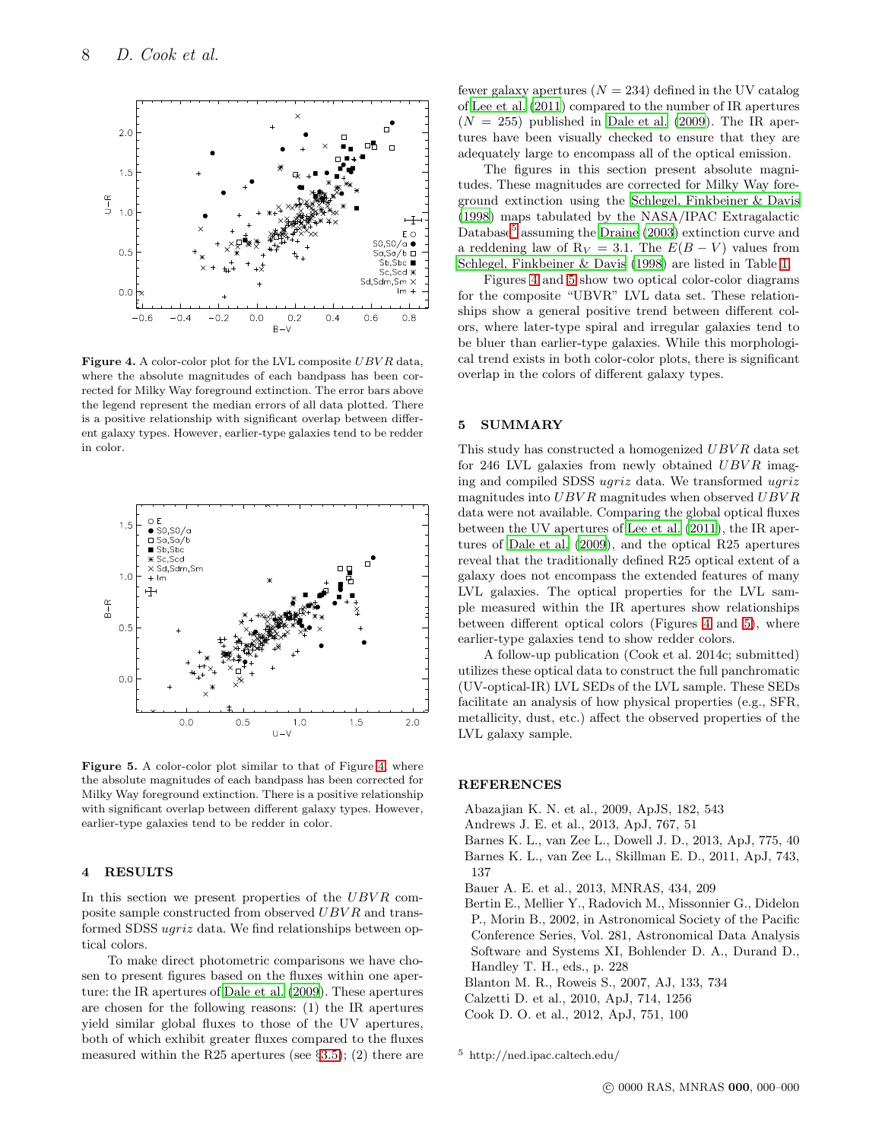

<span id="page-7-9"></span>Figure 4. A color-color plot for the LVL composite  $UBVR$  data, where the absolute magnitudes of each bandpass has been corrected for Milky Way foreground extinction. The error bars above the legend represent the median errors of all data plotted. There is a positive relationship with significant overlap between different galaxy types. However, earlier-type galaxies tend to be redder in color.



<span id="page-7-11"></span>Figure 5. A color-color plot similar to that of Figure [4,](#page-7-9) where the absolute magnitudes of each bandpass has been corrected for Milky Way foreground extinction. There is a positive relationship with significant overlap between different galaxy types. However, earlier-type galaxies tend to be redder in color.

#### 4 RESULTS

In this section we present properties of the  $UBVR$  composite sample constructed from observed UBVR and transformed SDSS ugriz data. We find relationships between optical colors.

To make direct photometric comparisons we have chosen to present figures based on the fluxes within one aperture: the IR apertures of [Dale et al. \(2009\)](#page-8-2). These apertures are chosen for the following reasons: (1) the IR apertures yield similar global fluxes to those of the UV apertures, both of which exhibit greater fluxes compared to the fluxes measured within the R25 apertures (see  $\S 3.5$ ); (2) there are fewer galaxy apertures  $(N = 234)$  defined in the UV catalog of [Lee et al. \(2011](#page-8-0)) compared to the number of IR apertures  $(N = 255)$  published in [Dale et al. \(2009\)](#page-8-2). The IR apertures have been visually checked to ensure that they are adequately large to encompass all of the optical emission.

The figures in this section present absolute magnitudes. These magnitudes are corrected for Milky Way foreground extinction using the [Schlegel, Finkbeiner & Davis](#page-8-14) [\(1998\)](#page-8-14) maps tabulated by the NASA/IPAC Extragalactic Database<sup>[5](#page-7-10)</sup> assuming the [Draine \(2003\)](#page-8-15) extinction curve and a reddening law of  $R_V = 3.1$ . The  $E(B - V)$  values from [Schlegel, Finkbeiner & Davis \(1998\)](#page-8-14) are listed in Table [1.](#page-2-0)

Figures [4](#page-7-9) and [5](#page-7-11) show two optical color-color diagrams for the composite "UBVR" LVL data set. These relationships show a general positive trend between different colors, where later-type spiral and irregular galaxies tend to be bluer than earlier-type galaxies. While this morphological trend exists in both color-color plots, there is significant overlap in the colors of different galaxy types.

# 5 SUMMARY

This study has constructed a homogenized UBVR data set for 246 LVL galaxies from newly obtained  $UBVR$  imaging and compiled SDSS ugriz data. We transformed ugriz magnitudes into  $UBVR$  magnitudes when observed  $UBVR$ data were not available. Comparing the global optical fluxes between the UV apertures of [Lee et al. \(2011](#page-8-0)), the IR apertures of [Dale et al. \(2009](#page-8-2)), and the optical R25 apertures reveal that the traditionally defined R25 optical extent of a galaxy does not encompass the extended features of many LVL galaxies. The optical properties for the LVL sample measured within the IR apertures show relationships between different optical colors (Figures [4](#page-7-9) and [5\)](#page-7-11), where earlier-type galaxies tend to show redder colors.

A follow-up publication (Cook et al. 2014c; submitted) utilizes these optical data to construct the full panchromatic (UV-optical-IR) LVL SEDs of the LVL sample. These SEDs facilitate an analysis of how physical properties (e.g., SFR, metallicity, dust, etc.) affect the observed properties of the LVL galaxy sample.

## **REFERENCES**

- <span id="page-7-6"></span>Abazajian K. N. et al., 2009, ApJS, 182, 543
- <span id="page-7-3"></span>Andrews J. E. et al., 2013, ApJ, 767, 51
- <span id="page-7-4"></span><span id="page-7-1"></span>Barnes K. L., van Zee L., Dowell J. D., 2013, ApJ, 775, 40 Barnes K. L., van Zee L., Skillman E. D., 2011, ApJ, 743, 137
- <span id="page-7-5"></span>Bauer A. E. et al., 2013, MNRAS, 434, 209
- <span id="page-7-7"></span>Bertin E., Mellier Y., Radovich M., Missonnier G., Didelon P., Morin B., 2002, in Astronomical Society of the Pacific Conference Series, Vol. 281, Astronomical Data Analysis Software and Systems XI, Bohlender D. A., Durand D., Handley T. H., eds., p. 228
- <span id="page-7-8"></span>Blanton M. R., Roweis S., 2007, AJ, 133, 734
- <span id="page-7-0"></span>Calzetti D. et al., 2010, ApJ, 714, 1256
- <span id="page-7-2"></span>Cook D. O. et al., 2012, ApJ, 751, 100

<span id="page-7-10"></span><sup>5</sup> http://ned.ipac.caltech.edu/